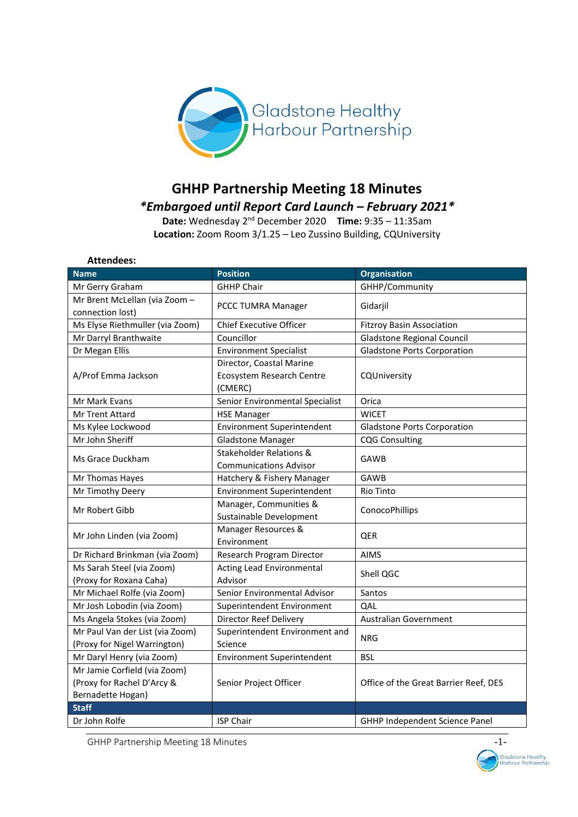

# **GHHP Partnership Meeting 18 Minutes**  *\*Embargoed until Report Card Launch – February 2021\**

**Date:** Wednesday 2<sup>nd</sup> December 2020 Time: 9:35 - 11:35am **Location:** Zoom Room 3/1.25 – Leo Zussino Building, CQUniversity

| <b>Attendees:</b>                                               |                                                                         |                                       |  |
|-----------------------------------------------------------------|-------------------------------------------------------------------------|---------------------------------------|--|
| <b>Name</b>                                                     | Position                                                                | <b>Organisation</b>                   |  |
| Mr Gerry Graham                                                 | <b>GHHP Chair</b>                                                       | GHHP/Community                        |  |
| Mr Brent McLellan (via Zoom -<br>connection lost)               | PCCC TUMRA Manager                                                      | Gidarjil                              |  |
| Ms Elyse Riethmuller (via Zoom)                                 | <b>Chief Executive Officer</b>                                          | <b>Fitzroy Basin Association</b>      |  |
| Mr Darryl Branthwaite                                           | Councillor                                                              | <b>Gladstone Regional Council</b>     |  |
| Dr Megan Ellis                                                  | <b>Environment Specialist</b>                                           | <b>Gladstone Ports Corporation</b>    |  |
| A/Prof Emma Jackson                                             | Director, Coastal Marine<br><b>Ecosystem Research Centre</b><br>(CMERC) | CQUniversity                          |  |
| Mr Mark Evans                                                   | Senior Environmental Specialist                                         | Orica                                 |  |
| <b>Mr Trent Attard</b>                                          | <b>WICET</b><br><b>HSE Manager</b>                                      |                                       |  |
| Ms Kylee Lockwood                                               | <b>Environment Superintendent</b>                                       | <b>Gladstone Ports Corporation</b>    |  |
| Mr John Sheriff                                                 | <b>Gladstone Manager</b>                                                | <b>CQG Consulting</b>                 |  |
| Ms Grace Duckham                                                | Stakeholder Relations &<br><b>Communications Advisor</b>                | GAWB                                  |  |
| Mr Thomas Hayes                                                 | Hatchery & Fishery Manager                                              | <b>GAWB</b>                           |  |
| Mr Timothy Deery                                                | Environment Superintendent                                              | <b>Rio Tinto</b>                      |  |
| Mr Robert Gibb                                                  | Manager, Communities &<br>Sustainable Development                       | ConocoPhillips                        |  |
| Mr John Linden (via Zoom)                                       | Manager Resources &<br>Environment                                      | QER                                   |  |
| Dr Richard Brinkman (via Zoom)                                  | Research Program Director                                               | <b>AIMS</b>                           |  |
| Ms Sarah Steel (via Zoom)<br>(Proxy for Roxana Caha)            | Acting Lead Environmental<br>Shell QGC<br>Advisor                       |                                       |  |
| Mr Michael Rolfe (via Zoom)                                     | Senior Environmental Advisor                                            | Santos                                |  |
| Mr Josh Lobodin (via Zoom)                                      | Superintendent Environment                                              | QAL                                   |  |
| Ms Angela Stokes (via Zoom)                                     | Director Reef Delivery                                                  | <b>Australian Government</b>          |  |
| Mr Paul Van der List (via Zoom)<br>(Proxy for Nigel Warrington) | Superintendent Environment and<br>Science                               | <b>NRG</b>                            |  |
| Mr Daryl Henry (via Zoom)                                       | <b>Environment Superintendent</b>                                       | <b>BSL</b>                            |  |
| Mr Jamie Corfield (via Zoom)                                    |                                                                         |                                       |  |
| (Proxy for Rachel D'Arcy &                                      | Senior Project Officer                                                  | Office of the Great Barrier Reef, DES |  |
| Bernadette Hogan)                                               |                                                                         |                                       |  |
| <b>Staff</b>                                                    |                                                                         |                                       |  |
| Dr John Rolfe                                                   | <b>ISP Chair</b>                                                        | GHHP Independent Science Panel        |  |

GHHP Partnership Meeting 18 Minutes and the control of the control of the control of the control of the control of the control of the control of the control of the control of the control of the control of the control of th

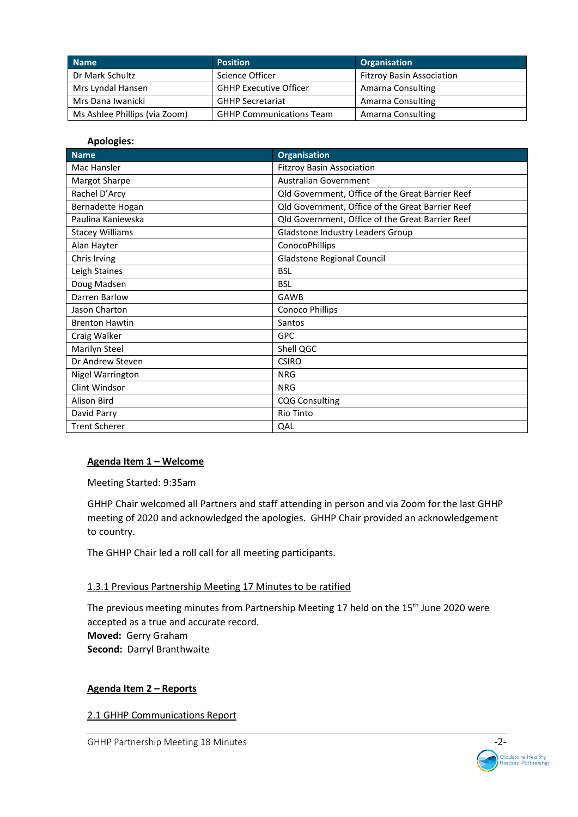| <b>Name</b>                   | <b>Position</b>                 | <b>Organisation</b>              |
|-------------------------------|---------------------------------|----------------------------------|
| Dr Mark Schultz               | Science Officer                 | <b>Fitzroy Basin Association</b> |
| Mrs Lyndal Hansen             | <b>GHHP Executive Officer</b>   | Amarna Consulting                |
| Mrs Dana Iwanicki             | <b>GHHP Secretariat</b>         | Amarna Consulting                |
| Ms Ashlee Phillips (via Zoom) | <b>GHHP Communications Team</b> | Amarna Consulting                |

#### **Apologies:**

| <b>Name</b>            | <b>Organisation</b>                              |
|------------------------|--------------------------------------------------|
| Mac Hansler            | <b>Fitzroy Basin Association</b>                 |
| Margot Sharpe          | <b>Australian Government</b>                     |
| Rachel D'Arcy          | Qld Government, Office of the Great Barrier Reef |
| Bernadette Hogan       | Qld Government, Office of the Great Barrier Reef |
| Paulina Kaniewska      | Qld Government, Office of the Great Barrier Reef |
| <b>Stacey Williams</b> | Gladstone Industry Leaders Group                 |
| Alan Hayter            | ConocoPhillips                                   |
| Chris Irving           | <b>Gladstone Regional Council</b>                |
| Leigh Staines          | <b>BSL</b>                                       |
| Doug Madsen            | <b>BSL</b>                                       |
| Darren Barlow          | GAWB                                             |
| Jason Charton          | <b>Conoco Phillips</b>                           |
| <b>Brenton Hawtin</b>  | Santos                                           |
| Craig Walker           | <b>GPC</b>                                       |
| Marilyn Steel          | Shell QGC                                        |
| Dr Andrew Steven       | <b>CSIRO</b>                                     |
| Nigel Warrington       | <b>NRG</b>                                       |
| Clint Windsor          | <b>NRG</b>                                       |
| Alison Bird            | <b>CQG Consulting</b>                            |
| David Parry            | Rio Tinto                                        |
| <b>Trent Scherer</b>   | QAL                                              |

#### **Agenda Item 1 – Welcome**

Meeting Started: 9:35am

GHHP Chair welcomed all Partners and staff attending in person and via Zoom for the last GHHP meeting of 2020 and acknowledged the apologies. GHHP Chair provided an acknowledgement to country.

The GHHP Chair led a roll call for all meeting participants.

#### 1.3.1 Previous Partnership Meeting 17 Minutes to be ratified

The previous meeting minutes from Partnership Meeting 17 held on the 15<sup>th</sup> June 2020 were accepted as a true and accurate record. **Moved:** Gerry Graham **Second:** Darryl Branthwaite

#### **Agenda Item 2 – Reports**

2.1 GHHP Communications Report

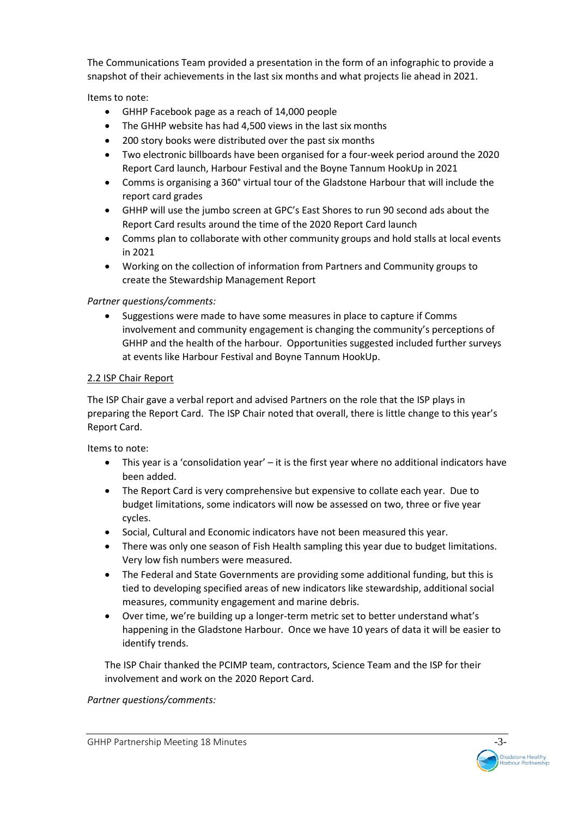The Communications Team provided a presentation in the form of an infographic to provide a snapshot of their achievements in the last six months and what projects lie ahead in 2021.

Items to note:

- GHHP Facebook page as a reach of 14,000 people
- The GHHP website has had 4,500 views in the last six months
- 200 story books were distributed over the past six months
- Two electronic billboards have been organised for a four-week period around the 2020 Report Card launch, Harbour Festival and the Boyne Tannum HookUp in 2021
- Comms is organising a 360° virtual tour of the Gladstone Harbour that will include the report card grades
- GHHP will use the jumbo screen at GPC's East Shores to run 90 second ads about the Report Card results around the time of the 2020 Report Card launch
- Comms plan to collaborate with other community groups and hold stalls at local events in 2021
- Working on the collection of information from Partners and Community groups to create the Stewardship Management Report

# *Partner questions/comments:*

• Suggestions were made to have some measures in place to capture if Comms involvement and community engagement is changing the community's perceptions of GHHP and the health of the harbour. Opportunities suggested included further surveys at events like Harbour Festival and Boyne Tannum HookUp.

### 2.2 ISP Chair Report

The ISP Chair gave a verbal report and advised Partners on the role that the ISP plays in preparing the Report Card. The ISP Chair noted that overall, there is little change to this year's Report Card.

Items to note:

- This year is a 'consolidation year' it is the first year where no additional indicators have been added.
- The Report Card is very comprehensive but expensive to collate each year. Due to budget limitations, some indicators will now be assessed on two, three or five year cycles.
- Social, Cultural and Economic indicators have not been measured this year.
- There was only one season of Fish Health sampling this year due to budget limitations. Very low fish numbers were measured.
- The Federal and State Governments are providing some additional funding, but this is tied to developing specified areas of new indicators like stewardship, additional social measures, community engagement and marine debris.
- Over time, we're building up a longer-term metric set to better understand what's happening in the Gladstone Harbour. Once we have 10 years of data it will be easier to identify trends.

The ISP Chair thanked the PCIMP team, contractors, Science Team and the ISP for their involvement and work on the 2020 Report Card.

*Partner questions/comments:*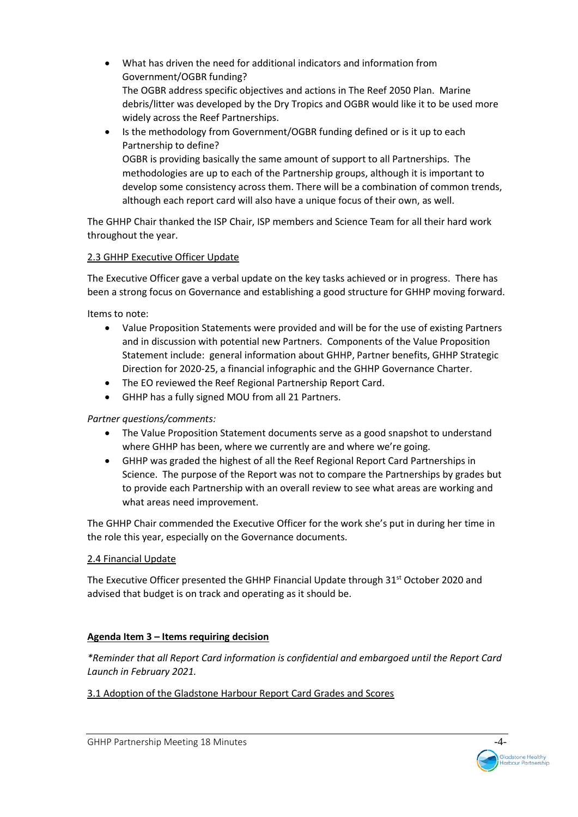- What has driven the need for additional indicators and information from Government/OGBR funding? The OGBR address specific objectives and actions in The Reef 2050 Plan. Marine debris/litter was developed by the Dry Tropics and OGBR would like it to be used more widely across the Reef Partnerships.
- Is the methodology from Government/OGBR funding defined or is it up to each Partnership to define? OGBR is providing basically the same amount of support to all Partnerships. The methodologies are up to each of the Partnership groups, although it is important to develop some consistency across them. There will be a combination of common trends, although each report card will also have a unique focus of their own, as well.

The GHHP Chair thanked the ISP Chair, ISP members and Science Team for all their hard work throughout the year.

### 2.3 GHHP Executive Officer Update

The Executive Officer gave a verbal update on the key tasks achieved or in progress. There has been a strong focus on Governance and establishing a good structure for GHHP moving forward.

Items to note:

- Value Proposition Statements were provided and will be for the use of existing Partners and in discussion with potential new Partners. Components of the Value Proposition Statement include: general information about GHHP, Partner benefits, GHHP Strategic Direction for 2020-25, a financial infographic and the GHHP Governance Charter.
- The EO reviewed the Reef Regional Partnership Report Card.
- GHHP has a fully signed MOU from all 21 Partners.

### *Partner questions/comments:*

- The Value Proposition Statement documents serve as a good snapshot to understand where GHHP has been, where we currently are and where we're going.
- GHHP was graded the highest of all the Reef Regional Report Card Partnerships in Science. The purpose of the Report was not to compare the Partnerships by grades but to provide each Partnership with an overall review to see what areas are working and what areas need improvement.

The GHHP Chair commended the Executive Officer for the work she's put in during her time in the role this year, especially on the Governance documents.

### 2.4 Financial Update

The Executive Officer presented the GHHP Financial Update through 31st October 2020 and advised that budget is on track and operating as it should be.

# **Agenda Item 3 – Items requiring decision**

*\*Reminder that all Report Card information is confidential and embargoed until the Report Card Launch in February 2021.* 

# 3.1 Adoption of the Gladstone Harbour Report Card Grades and Scores

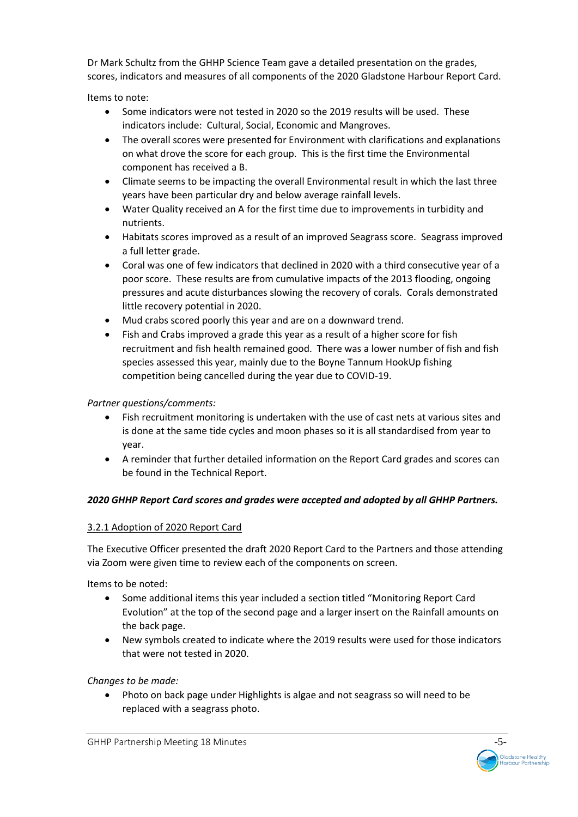Dr Mark Schultz from the GHHP Science Team gave a detailed presentation on the grades, scores, indicators and measures of all components of the 2020 Gladstone Harbour Report Card.

Items to note:

- Some indicators were not tested in 2020 so the 2019 results will be used. These indicators include: Cultural, Social, Economic and Mangroves.
- The overall scores were presented for Environment with clarifications and explanations on what drove the score for each group. This is the first time the Environmental component has received a B.
- Climate seems to be impacting the overall Environmental result in which the last three years have been particular dry and below average rainfall levels.
- Water Quality received an A for the first time due to improvements in turbidity and nutrients.
- Habitats scores improved as a result of an improved Seagrass score. Seagrass improved a full letter grade.
- Coral was one of few indicators that declined in 2020 with a third consecutive year of a poor score. These results are from cumulative impacts of the 2013 flooding, ongoing pressures and acute disturbances slowing the recovery of corals. Corals demonstrated little recovery potential in 2020.
- Mud crabs scored poorly this year and are on a downward trend.
- Fish and Crabs improved a grade this year as a result of a higher score for fish recruitment and fish health remained good. There was a lower number of fish and fish species assessed this year, mainly due to the Boyne Tannum HookUp fishing competition being cancelled during the year due to COVID-19.

# *Partner questions/comments:*

- Fish recruitment monitoring is undertaken with the use of cast nets at various sites and is done at the same tide cycles and moon phases so it is all standardised from year to year.
- A reminder that further detailed information on the Report Card grades and scores can be found in the Technical Report.

# *2020 GHHP Report Card scores and grades were accepted and adopted by all GHHP Partners.*

# 3.2.1 Adoption of 2020 Report Card

The Executive Officer presented the draft 2020 Report Card to the Partners and those attending via Zoom were given time to review each of the components on screen.

Items to be noted:

- Some additional items this year included a section titled "Monitoring Report Card Evolution" at the top of the second page and a larger insert on the Rainfall amounts on the back page.
- New symbols created to indicate where the 2019 results were used for those indicators that were not tested in 2020.

*Changes to be made:* 

• Photo on back page under Highlights is algae and not seagrass so will need to be replaced with a seagrass photo.

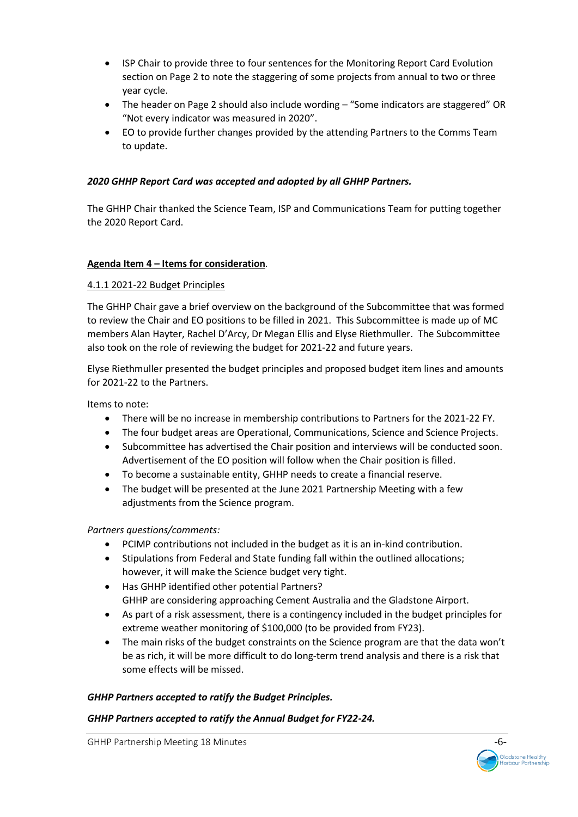- ISP Chair to provide three to four sentences for the Monitoring Report Card Evolution section on Page 2 to note the staggering of some projects from annual to two or three year cycle.
- The header on Page 2 should also include wording "Some indicators are staggered" OR "Not every indicator was measured in 2020".
- EO to provide further changes provided by the attending Partners to the Comms Team to update.

### *2020 GHHP Report Card was accepted and adopted by all GHHP Partners.*

The GHHP Chair thanked the Science Team, ISP and Communications Team for putting together the 2020 Report Card.

### **Agenda Item 4 – Items for consideration***.*

### 4.1.1 2021-22 Budget Principles

The GHHP Chair gave a brief overview on the background of the Subcommittee that was formed to review the Chair and EO positions to be filled in 2021. This Subcommittee is made up of MC members Alan Hayter, Rachel D'Arcy, Dr Megan Ellis and Elyse Riethmuller. The Subcommittee also took on the role of reviewing the budget for 2021-22 and future years.

Elyse Riethmuller presented the budget principles and proposed budget item lines and amounts for 2021-22 to the Partners.

Items to note:

- There will be no increase in membership contributions to Partners for the 2021-22 FY.
- The four budget areas are Operational, Communications, Science and Science Projects.
- Subcommittee has advertised the Chair position and interviews will be conducted soon. Advertisement of the EO position will follow when the Chair position is filled.
- To become a sustainable entity, GHHP needs to create a financial reserve.
- The budget will be presented at the June 2021 Partnership Meeting with a few adjustments from the Science program.

### *Partners questions/comments:*

- PCIMP contributions not included in the budget as it is an in-kind contribution.
- Stipulations from Federal and State funding fall within the outlined allocations; however, it will make the Science budget very tight.
- Has GHHP identified other potential Partners? GHHP are considering approaching Cement Australia and the Gladstone Airport.
- As part of a risk assessment, there is a contingency included in the budget principles for extreme weather monitoring of \$100,000 (to be provided from FY23).
- The main risks of the budget constraints on the Science program are that the data won't be as rich, it will be more difficult to do long-term trend analysis and there is a risk that some effects will be missed.

### *GHHP Partners accepted to ratify the Budget Principles.*

### *GHHP Partners accepted to ratify the Annual Budget for FY22-24.*